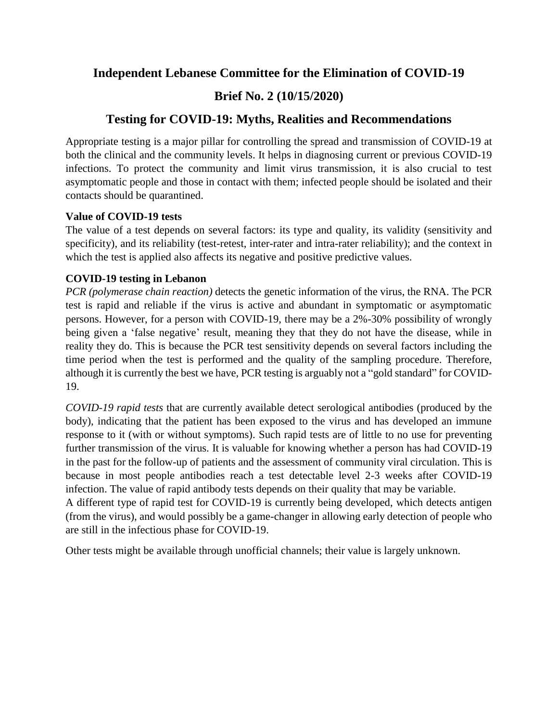## **Independent Lebanese Committee for the Elimination of COVID-19**

# **Brief No. 2 (10/15/2020)**

# **Testing for COVID-19: Myths, Realities and Recommendations**

Appropriate testing is a major pillar for controlling the spread and transmission of COVID-19 at both the clinical and the community levels. It helps in diagnosing current or previous COVID-19 infections. To protect the community and limit virus transmission, it is also crucial to test asymptomatic people and those in contact with them; infected people should be isolated and their contacts should be quarantined.

### **Value of COVID-19 tests**

The value of a test depends on several factors: its type and quality, its validity (sensitivity and specificity), and its reliability (test-retest, inter-rater and intra-rater reliability); and the context in which the test is applied also affects its negative and positive predictive values.

### **COVID-19 testing in Lebanon**

*PCR (polymerase chain reaction)* detects the genetic information of the virus, the RNA. The PCR test is rapid and reliable if the virus is active and abundant in symptomatic or asymptomatic persons. However, for a person with COVID-19, there may be a 2%-30% possibility of wrongly being given a 'false negative' result, meaning they that they do not have the disease, while in reality they do. This is because the PCR test sensitivity depends on several factors including the time period when the test is performed and the quality of the sampling procedure. Therefore, although it is currently the best we have, PCR testing is arguably not a "gold standard" for COVID-19.

*COVID-19 rapid tests* that are currently available detect serological antibodies (produced by the body), indicating that the patient has been exposed to the virus and has developed an immune response to it (with or without symptoms). Such rapid tests are of little to no use for preventing further transmission of the virus. It is valuable for knowing whether a person has had COVID-19 in the past for the follow-up of patients and the assessment of community viral circulation. This is because in most people antibodies reach a test detectable level 2-3 weeks after COVID-19 infection. The value of rapid antibody tests depends on their quality that may be variable.

A different type of rapid test for COVID-19 is currently being developed, which detects antigen (from the virus), and would possibly be a game-changer in allowing early detection of people who are still in the infectious phase for COVID-19.

Other tests might be available through unofficial channels; their value is largely unknown.